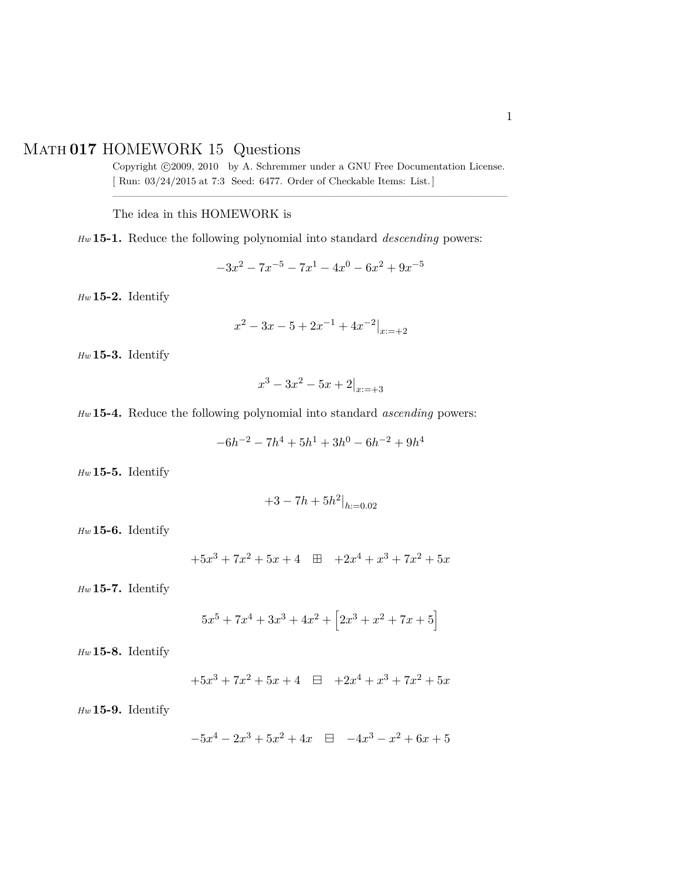## Math **017** HOMEWORK 15 Questions

Copyright ©2009, 2010 by A. Schremmer under a GNU Free Documentation License. [ Run: 03/24/2015 at 7:3 Seed: 6477. Order of Checkable Items: List.] ————————————————————————————————–

The idea in this HOMEWORK is

*Hw* **15-1.** Reduce the following polynomial into standard *descending* powers:

 $-3x^2 - 7x^{-5} - 7x^1 - 4x^0 - 6x^2 + 9x^{-5}$ 

*Hw* **15-2.** Identify

$$
x^2 - 3x - 5 + 2x^{-1} + 4x^{-2}|_{x:=+2}
$$

*Hw* **15-3.** Identify

$$
x^3 - 3x^2 - 5x + 2|_{x:=+3}
$$

*Hw* **15-4.** Reduce the following polynomial into standard *ascending* powers:

$$
-6h^{-2} - 7h^4 + 5h^1 + 3h^0 - 6h^{-2} + 9h^4
$$

*Hw* **15-5.** Identify

$$
+3 - 7h + 5h^2|_{h:=0.02}
$$

*Hw* **15-6.** Identify

$$
+5x^3 + 7x^2 + 5x + 4 \quad \boxplus \quad +2x^4 + x^3 + 7x^2 + 5x
$$

*Hw* **15-7.** Identify

$$
5x^5 + 7x^4 + 3x^3 + 4x^2 + \left[2x^3 + x^2 + 7x + 5\right]
$$

*Hw* **15-8.** Identify

$$
+5x^3 + 7x^2 + 5x + 4 \quad \boxminus \quad +2x^4 + x^3 + 7x^2 + 5x
$$

*Hw* **15-9.** Identify

$$
-5x^4 - 2x^3 + 5x^2 + 4x \quad \boxminus \quad -4x^3 - x^2 + 6x + 5
$$